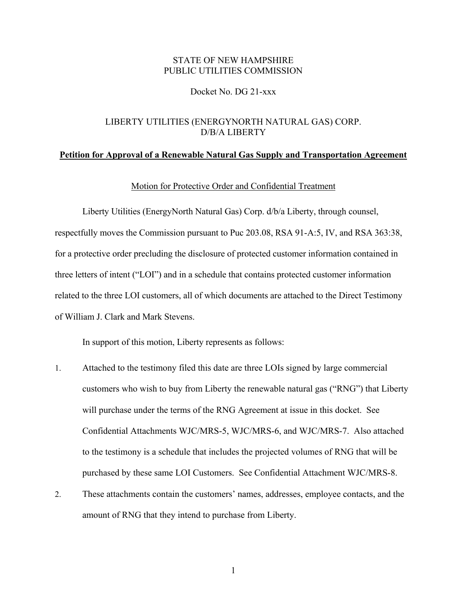# STATE OF NEW HAMPSHIRE PUBLIC UTILITIES COMMISSION

## Docket No. DG 21-xxx

# LIBERTY UTILITIES (ENERGYNORTH NATURAL GAS) CORP. D/B/A LIBERTY

#### **Petition for Approval of a Renewable Natural Gas Supply and Transportation Agreement**

#### Motion for Protective Order and Confidential Treatment

Liberty Utilities (EnergyNorth Natural Gas) Corp. d/b/a Liberty, through counsel, respectfully moves the Commission pursuant to Puc 203.08, RSA 91-A:5, IV, and RSA 363:38, for a protective order precluding the disclosure of protected customer information contained in three letters of intent ("LOI") and in a schedule that contains protected customer information related to the three LOI customers, all of which documents are attached to the Direct Testimony of William J. Clark and Mark Stevens.

In support of this motion, Liberty represents as follows:

- 1. Attached to the testimony filed this date are three LOIs signed by large commercial customers who wish to buy from Liberty the renewable natural gas ("RNG") that Liberty will purchase under the terms of the RNG Agreement at issue in this docket. See Confidential Attachments WJC/MRS-5, WJC/MRS-6, and WJC/MRS-7. Also attached to the testimony is a schedule that includes the projected volumes of RNG that will be purchased by these same LOI Customers. See Confidential Attachment WJC/MRS-8.
- 2. These attachments contain the customers' names, addresses, employee contacts, and the amount of RNG that they intend to purchase from Liberty.

1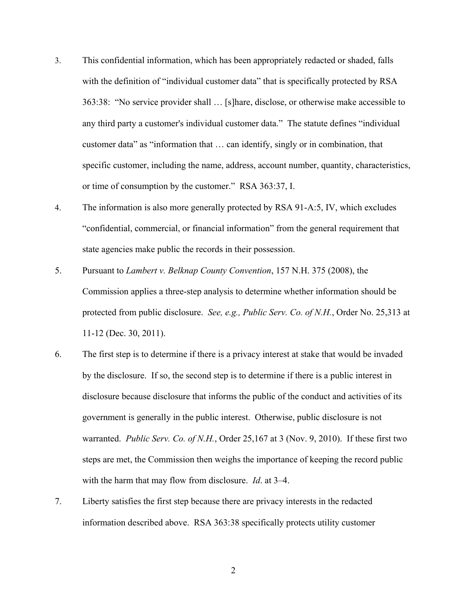- 3. This confidential information, which has been appropriately redacted or shaded, falls with the definition of "individual customer data" that is specifically protected by RSA 363:38: "No service provider shall … [s]hare, disclose, or otherwise make accessible to any third party a customer's individual customer data." The statute defines "individual customer data" as "information that … can identify, singly or in combination, that specific customer, including the name, address, account number, quantity, characteristics, or time of consumption by the customer." RSA 363:37, I.
- 4. The information is also more generally protected by RSA 91-A:5, IV, which excludes "confidential, commercial, or financial information" from the general requirement that state agencies make public the records in their possession.
- 5. Pursuant to *Lambert v. Belknap County Convention*, 157 N.H. 375 (2008), the Commission applies a three-step analysis to determine whether information should be protected from public disclosure. *See, e.g., Public Serv. Co. of N.H.*, Order No. 25,313 at 11-12 (Dec. 30, 2011).
- 6. The first step is to determine if there is a privacy interest at stake that would be invaded by the disclosure. If so, the second step is to determine if there is a public interest in disclosure because disclosure that informs the public of the conduct and activities of its government is generally in the public interest. Otherwise, public disclosure is not warranted. *Public Serv. Co. of N.H.*, Order 25,167 at 3 (Nov. 9, 2010). If these first two steps are met, the Commission then weighs the importance of keeping the record public with the harm that may flow from disclosure. *Id*. at 3–4.
- 7. Liberty satisfies the first step because there are privacy interests in the redacted information described above. RSA 363:38 specifically protects utility customer

2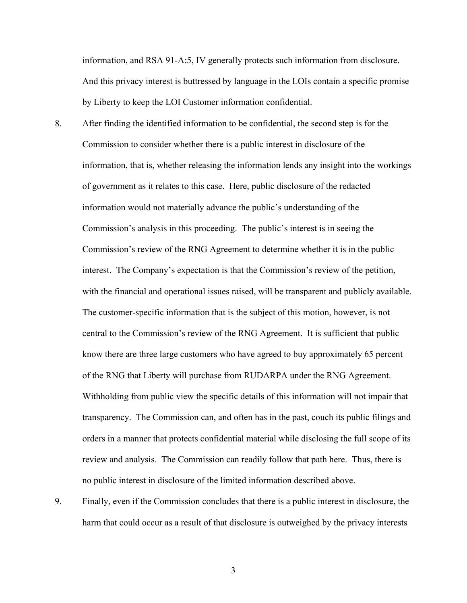information, and RSA 91-A:5, IV generally protects such information from disclosure. And this privacy interest is buttressed by language in the LOIs contain a specific promise by Liberty to keep the LOI Customer information confidential.

- 8. After finding the identified information to be confidential, the second step is for the Commission to consider whether there is a public interest in disclosure of the information, that is, whether releasing the information lends any insight into the workings of government as it relates to this case. Here, public disclosure of the redacted information would not materially advance the public's understanding of the Commission's analysis in this proceeding. The public's interest is in seeing the Commission's review of the RNG Agreement to determine whether it is in the public interest. The Company's expectation is that the Commission's review of the petition, with the financial and operational issues raised, will be transparent and publicly available. The customer-specific information that is the subject of this motion, however, is not central to the Commission's review of the RNG Agreement. It is sufficient that public know there are three large customers who have agreed to buy approximately 65 percent of the RNG that Liberty will purchase from RUDARPA under the RNG Agreement. Withholding from public view the specific details of this information will not impair that transparency. The Commission can, and often has in the past, couch its public filings and orders in a manner that protects confidential material while disclosing the full scope of its review and analysis. The Commission can readily follow that path here. Thus, there is no public interest in disclosure of the limited information described above.
- 9. Finally, even if the Commission concludes that there is a public interest in disclosure, the harm that could occur as a result of that disclosure is outweighed by the privacy interests

3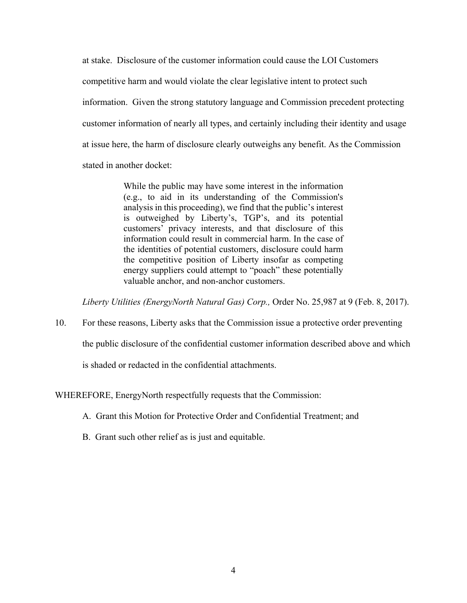at stake. Disclosure of the customer information could cause the LOI Customers competitive harm and would violate the clear legislative intent to protect such information. Given the strong statutory language and Commission precedent protecting customer information of nearly all types, and certainly including their identity and usage at issue here, the harm of disclosure clearly outweighs any benefit. As the Commission stated in another docket:

> While the public may have some interest in the information (e.g., to aid in its understanding of the Commission's analysis in this proceeding), we find that the public's interest is outweighed by Liberty's, TGP's, and its potential customers' privacy interests, and that disclosure of this information could result in commercial harm. In the case of the identities of potential customers, disclosure could harm the competitive position of Liberty insofar as competing energy suppliers could attempt to "poach" these potentially valuable anchor, and non-anchor customers.

*Liberty Utilities (EnergyNorth Natural Gas) Corp.,* Order No. 25,987 at 9 (Feb. 8, 2017).

10. For these reasons, Liberty asks that the Commission issue a protective order preventing the public disclosure of the confidential customer information described above and which is shaded or redacted in the confidential attachments.

## WHEREFORE, EnergyNorth respectfully requests that the Commission:

- A. Grant this Motion for Protective Order and Confidential Treatment; and
- B. Grant such other relief as is just and equitable.